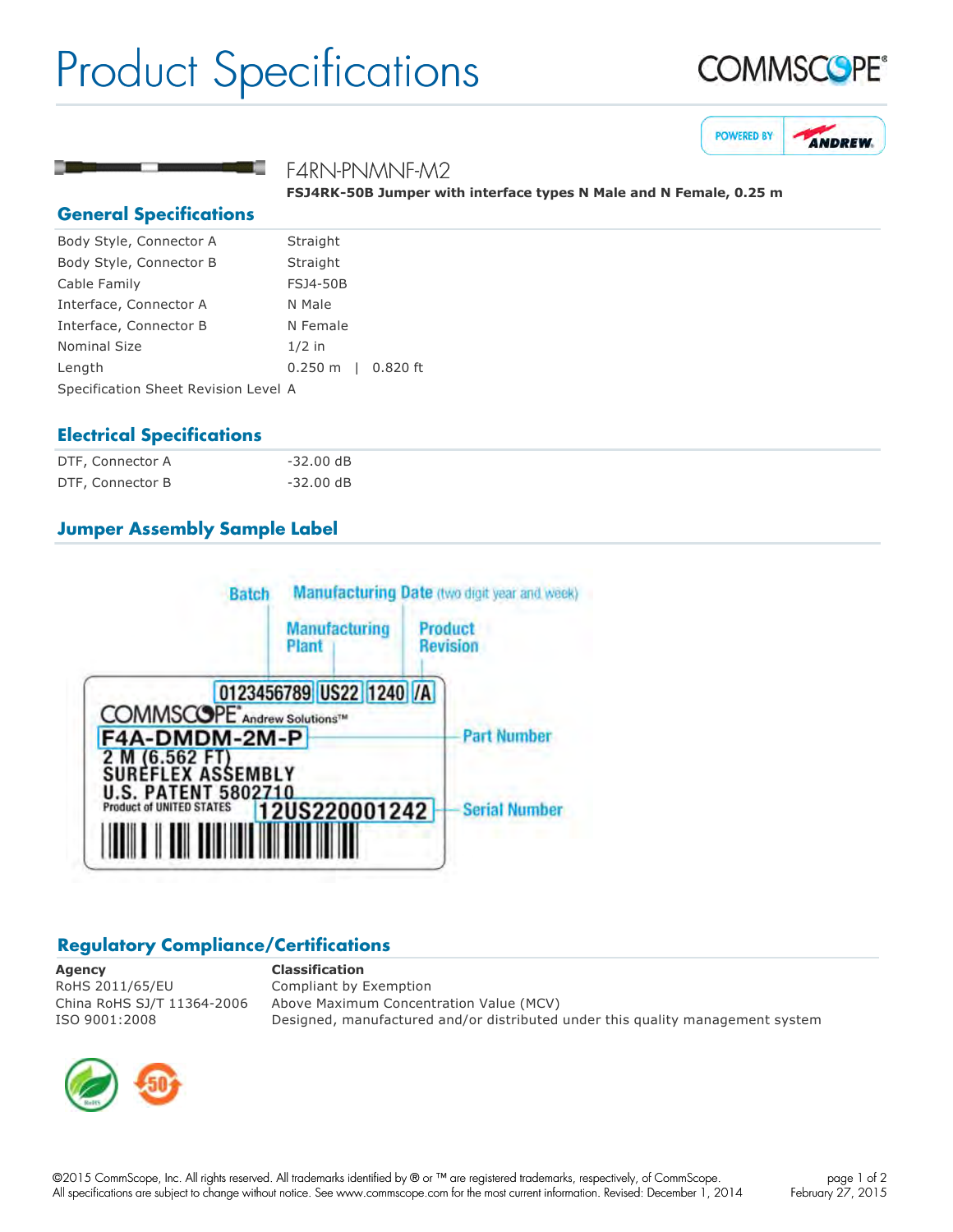# Product Specifications







#### F4RN-PNMNF-M2

FSJ4RK-50B Jumper with interface types N Male and N Female, 0.25 m

#### **General Specifications**

| Body Style, Connector A              | Straight                     |  |
|--------------------------------------|------------------------------|--|
| Body Style, Connector B              | Straight                     |  |
| Cable Family                         | <b>FSJ4-50B</b>              |  |
| Interface, Connector A               | N Male                       |  |
| Interface, Connector B               | N Female                     |  |
| <b>Nominal Size</b>                  | $1/2$ in                     |  |
| Length                               | $0.250 \text{ m}$   0.820 ft |  |
| Specification Sheet Revision Level A |                              |  |

### **Electrical Specifications**

| DTF, Connector A | $-32.00$ dB |
|------------------|-------------|
| DTF, Connector B | $-32.00$ dB |

## **Jumper Assembly Sample Label**



### **Regulatory Compliance/Certifications**

**Agency Classification** RoHS 2011/65/EU Compliant by Exemption

China RoHS SJ/T 11364-2006 Above Maximum Concentration Value (MCV) ISO 9001:2008 Designed, manufactured and/or distributed under this quality management system